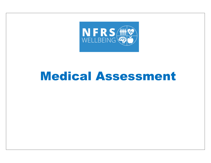

# Medical Assessment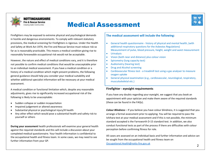

**NOTTINGHAMSHIRE Fire & Rescue Service Creating Safer Communities** 

# Medical Assessment



However, the nature and effect of medical conditions vary, and it is therefore not possible to confirm medical conditions that would be unacceptable prior to an individual medical assessment. If you have a medical condition or a history of a medical condition which might present problems, the following general guidance should help you consider your medical suitability and whether additional specialist information will be necessary at your medical assessment.

A medical condition or functional limitation which, despite any reasonable adjustments, gives rise to significantly increased occupational risk of the following is likely to be unacceptable:

- Sudden collapse or sudden incapacitation
- Impaired judgement or altered awareness
- Substantial physical or psychological injury/ill health
- Any other effect which would pose a substantial health and safety risk to yourself or others

During your assessment health professionals will examine your general health against the required standards and this will include a discussion about your completed medical questionnaire. Your health information is confidential to the occupational health and fitness team. In some cases, we may need to see further information from your GP.

#### The medical assessment will include the following:

- General health questionnaire history of physical and mental health, (with additional respiratory questions for the Asbestos Regulations) Measurement of pulse, blood pressure, height, weight and waist measurement
- **•** Urinalysis
- Vision (both near and distance) plus colour vision
- Spirometry (lung capacity test)
- Audiometry (hearing test)
- Drug and Alcohol screening
- Cardiovascular fitness test a treadmill test using a gas analyser to measure oxygen uptake
- General physical examination (e.g., cardiovascular, neurological, respiratory, musculoskeletal etc.)

#### Firefighter - eyesight requirements

If you have any doubts regarding your eyesight, we suggest that you book an appointment with your optician and make them aware of the required standards (these can be found in the FAQs).

**Colour Blindness** – If you believe you have colour blindness, it is suggested that you arrange a formal assessment prior to applying. You will be required to pass the Ishihara test at your medical assessment and if this is not possible, the minimum standard accepted is the Farnsworth D-15 standard test. In addition, we also conduct functional tests as part of the process if there are difficulties with colour perception before confirming fitness for role.

All cases are assessed on an individual basis and further information and advice can be sought from the occupational health and fitness team on Occupational.Health@notts-fire.gov.uk <sup>2</sup>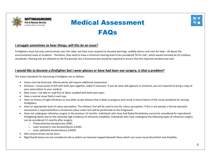

NOTTINGHAMSHIRE **Fire & Rescue Service Creating Safer Communities** 

# Medical Assessment FAQs

### I struggle sometimes to hear things; will this be an issue?

Firefighters must not only communicate over the radio, but they must respond to shouted warnings, audible alarms and cries for help – all above the environmental noise at incidents. Therefore, they need to have a minimum hearing level to be considered 'fit for role', which would normally be H2 (military standards). Hearing aids are allowed on the fire ground, but a functional test would be required to ensure that the required standard was met.

# I would like to become a firefighter but I wear glasses or have had laser eye surgery, is that a problem?

The Vision Standards for becoming a firefighter are as follows:

- Vision must be binocular. Monocularity will require additional assessment.
- Distance = visual acuity of 6/9 with both eyes together, aided if necessary. If you do wear aids (glasses or contacts), you are required to bring a copy of your prescription to your medical.
- $\bullet$  Near vision = be able to read N12 at 30cm unaided with both eves open.
- Have a normal visual field in each eye.
- Have no history of night blindness or any other ocular disease that is likely to progress and result in future failure of the visual standards for serving firefighters.
- Have an appropriate level of colour perception. The Ishihara Test will be used to test for colour perception. If this is not passed, a formal specialist assessment is required before a vocational colour vision test will be performed on the fireground.
- Have not undergone refractive surgery in the previous 12 months. Individuals who have had Radial Keratotomy cannot be considered for operational firefighting duties due to the relatively high incidence of refractive instability. Individuals who have undergone the following types of refractive surgery can be considered 12 months after surgery:
	- o Photorefractive Keratectomy (PRK)
	- o Laser assisted in-situ keratomileusis (LASIK)
	- o Laser epithelial keratomileusis (LASEK)
- Soft contact lenses can be worn.
- Rigid (hard) lenses are not considered safe as debris can become trapped beneath these which can cause visual discomfort and disability.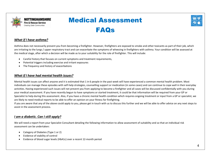

Medical Assessment

FAQs



# What if I have asthma?

NOTTINGHAMSHIRE **Fire & Rescue Service Creating Safer Communities** 

Asthma does not necessarily prevent you from becoming a firefighter. However, firefighters are exposed to smoke and other toxicants as part of their job, which are irritating to the lungs / upper respiratory tract and can exacerbate the symptoms of wheezing in firefighters with asthma. Your condition will be assessed at the medical stage, after which a decision will be made as to your suitability for the role of firefighter. This will include:

- Careful history that focuses on current symptoms and treatment requirements,
- Potential triggers including exercise and irritant exposures
- The frequency and history of exacerbations

### What if I have had mental health issues?

Mental health issues can affect anyone and it is estimated that 1 in 6 people in the past week will have experienced a common mental health problem. Most individuals can manage these episodes with self-help strategies, counselling support or medication (in some cases) and can continue to cope well in their everyday activities. Having experienced such issues will not prevent you from applying to become a firefighter and all cases will be discussed confidentially with you during your medical assessment. If you have recently begun to have symptoms or started treatment, it could be that information will be required from your GP or Specialist to help during this assessment. Also, if you have a chronic mental health condition which requires ongoing treatment or input from a GP or specialist, we are likely to need medical reports to be able to offer an opinion on your fitness for firefighting.

If you are aware that any of the above could apply to you, please get in touch with us to discuss this further and we will be able to offer advice on any next steps to assist in the assessment process.

#### I am a diabetic. Can I still apply?

We will need a report from your Specialist Consultant detailing the following information to allow assessment of suitability and so that an individual risk assessment can be undertaken:

- Category of Diabetes (Type 1 or 2)
- Evidence of stability of control
- Evidence of blood sugar levels (HbA1c) over a recent 12-month period